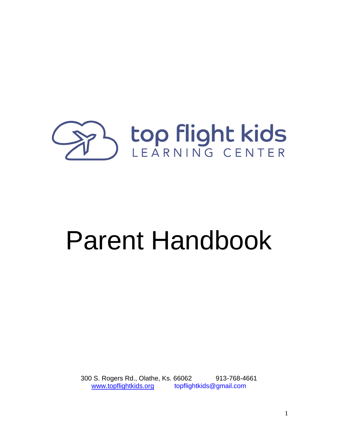

# Parent Handbook

300 S. Rogers Rd., Olathe, Ks. 66062 913-768-4661 [www.topflightkids.org](http://www.topflightkids.org/) topflightkids@gmail.com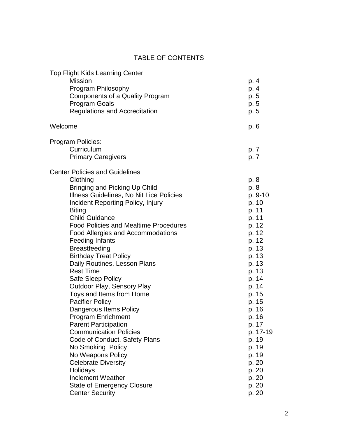#### TABLE OF CONTENTS

| <b>Top Flight Kids Learning Center</b>                |          |
|-------------------------------------------------------|----------|
| <b>Mission</b><br>p. 4                                |          |
| Program Philosophy<br>p. 4                            |          |
| Components of a Quality Program<br>p. 5               |          |
| <b>Program Goals</b><br>p. 5                          |          |
| <b>Regulations and Accreditation</b><br>p. 5          |          |
| Welcome<br>p. 6                                       |          |
| Program Policies:                                     |          |
| Curriculum<br>p. 7                                    |          |
| <b>Primary Caregivers</b><br>p. 7                     |          |
| <b>Center Policies and Guidelines</b>                 |          |
| Clothing<br>p. 8                                      |          |
| Bringing and Picking Up Child<br>p. 8                 |          |
| Illness Guidelines, No Nit Lice Policies              | p. 9-10  |
| Incident Reporting Policy, Injury<br>p. 10            |          |
| <b>Biting</b><br>p. 11                                |          |
| <b>Child Guidance</b><br>p. 11                        |          |
| <b>Food Policies and Mealtime Procedures</b><br>p. 12 |          |
| Food Allergies and Accommodations<br>p. 12            |          |
| <b>Feeding Infants</b><br>p. 12                       |          |
| <b>Breastfeeding</b><br>p. 13                         |          |
| <b>Birthday Treat Policy</b><br>p. 13                 |          |
| Daily Routines, Lesson Plans<br>p. 13                 |          |
| <b>Rest Time</b><br>p. 13                             |          |
| Safe Sleep Policy<br>p. 14                            |          |
| <b>Outdoor Play, Sensory Play</b><br>p. 14            |          |
| Toys and Items from Home<br>p. 15                     |          |
| <b>Pacifier Policy</b><br>p. 15                       |          |
| Dangerous Items Policy<br>p. 16                       |          |
| p. 16<br><b>Program Enrichment</b>                    |          |
| <b>Parent Participation</b><br>p. 17                  |          |
| <b>Communication Policies</b>                         | p. 17-19 |
| Code of Conduct, Safety Plans<br>p. 19                |          |
| No Smoking Policy<br>p. 19                            |          |
| No Weapons Policy<br>p. 19                            |          |
| <b>Celebrate Diversity</b><br>p. 20                   |          |
| Holidays<br>p. 20                                     |          |
| <b>Inclement Weather</b><br>p. 20                     |          |
| <b>State of Emergency Closure</b><br>p. 20            |          |
| <b>Center Security</b><br>p. 20                       |          |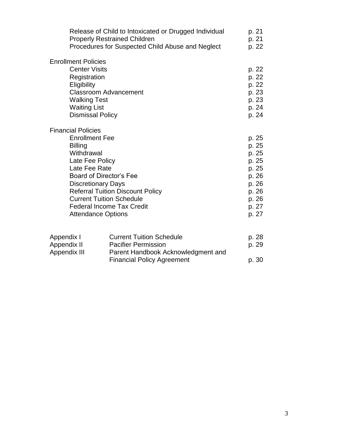|                                                                                                                                                            | Release of Child to Intoxicated or Drugged Individual<br><b>Properly Restrained Children</b><br>Procedures for Suspected Child Abuse and Neglect                              | p. 21<br>p. 21<br>p. 22                                                                         |
|------------------------------------------------------------------------------------------------------------------------------------------------------------|-------------------------------------------------------------------------------------------------------------------------------------------------------------------------------|-------------------------------------------------------------------------------------------------|
| <b>Enrollment Policies</b><br><b>Center Visits</b><br>Registration<br>Eligibility<br><b>Walking Test</b><br><b>Waiting List</b><br><b>Dismissal Policy</b> | <b>Classroom Advancement</b>                                                                                                                                                  | p. 22<br>p. 22<br>p. 22<br>p. 23<br>p. 23<br>p. 24<br>p. 24                                     |
| <b>Financial Policies</b><br><b>Enrollment Fee</b><br><b>Billing</b><br>Withdrawal<br>Late Fee Policy<br>Late Fee Rate<br><b>Discretionary Days</b>        | <b>Board of Director's Fee</b><br><b>Referral Tuition Discount Policy</b><br><b>Current Tuition Schedule</b><br><b>Federal Income Tax Credit</b><br><b>Attendance Options</b> | p. 25<br>p. 25<br>p. 25<br>p. 25<br>p. 25<br>p. 26<br>p. 26<br>p. 26<br>p. 26<br>p. 27<br>p. 27 |
| Appendix I<br>Appendix II<br>Appendix III                                                                                                                  | <b>Current Tuition Schedule</b><br><b>Pacifier Permission</b><br>Parent Handbook Acknowledgment and<br><b>Financial Policy Agreement</b>                                      | p. 28<br>p. 29<br>p. 30                                                                         |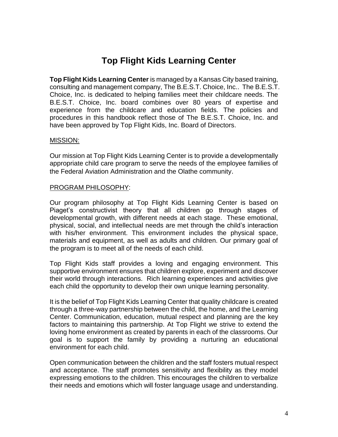## **Top Flight Kids Learning Center**

**Top Flight Kids Learning Center** is managed by a Kansas City based training, consulting and management company, The B.E.S.T. Choice, Inc.. The B.E.S.T. Choice, Inc. is dedicated to helping families meet their childcare needs. The B.E.S.T. Choice, Inc. board combines over 80 years of expertise and experience from the childcare and education fields. The policies and procedures in this handbook reflect those of The B.E.S.T. Choice, Inc. and have been approved by Top Flight Kids, Inc. Board of Directors.

#### MISSION:

Our mission at Top Flight Kids Learning Center is to provide a developmentally appropriate child care program to serve the needs of the employee families of the Federal Aviation Administration and the Olathe community.

#### PROGRAM PHILOSOPHY:

Our program philosophy at Top Flight Kids Learning Center is based on Piaget's constructivist theory that all children go through stages of developmental growth, with different needs at each stage. These emotional, physical, social, and intellectual needs are met through the child's interaction with his/her environment. This environment includes the physical space, materials and equipment, as well as adults and children. Our primary goal of the program is to meet all of the needs of each child.

Top Flight Kids staff provides a loving and engaging environment. This supportive environment ensures that children explore, experiment and discover their world through interactions. Rich learning experiences and activities give each child the opportunity to develop their own unique learning personality.

It is the belief of Top Flight Kids Learning Center that quality childcare is created through a three-way partnership between the child, the home, and the Learning Center. Communication, education, mutual respect and planning are the key factors to maintaining this partnership. At Top Flight we strive to extend the loving home environment as created by parents in each of the classrooms. Our goal is to support the family by providing a nurturing an educational environment for each child.

Open communication between the children and the staff fosters mutual respect and acceptance. The staff promotes sensitivity and flexibility as they model expressing emotions to the children. This encourages the children to verbalize their needs and emotions which will foster language usage and understanding.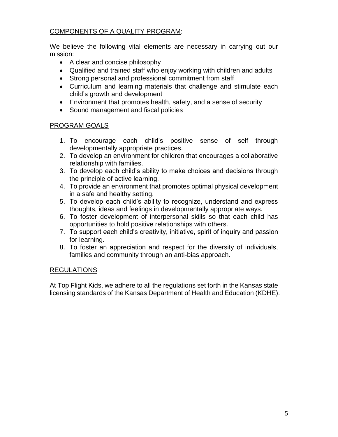#### COMPONENTS OF A QUALITY PROGRAM:

We believe the following vital elements are necessary in carrying out our mission:

- A clear and concise philosophy
- Qualified and trained staff who enjoy working with children and adults
- Strong personal and professional commitment from staff
- Curriculum and learning materials that challenge and stimulate each child's growth and development
- Environment that promotes health, safety, and a sense of security
- Sound management and fiscal policies

#### PROGRAM GOALS

- 1. To encourage each child's positive sense of self through developmentally appropriate practices.
- 2. To develop an environment for children that encourages a collaborative relationship with families.
- 3. To develop each child's ability to make choices and decisions through the principle of active learning.
- 4. To provide an environment that promotes optimal physical development in a safe and healthy setting.
- 5. To develop each child's ability to recognize, understand and express thoughts, ideas and feelings in developmentally appropriate ways.
- 6. To foster development of interpersonal skills so that each child has opportunities to hold positive relationships with others.
- 7. To support each child's creativity, initiative, spirit of inquiry and passion for learning.
- 8. To foster an appreciation and respect for the diversity of individuals, families and community through an anti-bias approach.

#### REGULATIONS

At Top Flight Kids, we adhere to all the regulations set forth in the Kansas state licensing standards of the Kansas Department of Health and Education (KDHE).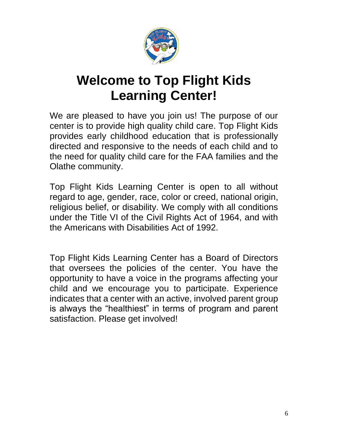

## **Welcome to Top Flight Kids Learning Center!**

We are pleased to have you join us! The purpose of our center is to provide high quality child care. Top Flight Kids provides early childhood education that is professionally directed and responsive to the needs of each child and to the need for quality child care for the FAA families and the Olathe community.

Top Flight Kids Learning Center is open to all without regard to age, gender, race, color or creed, national origin, religious belief, or disability. We comply with all conditions under the Title VI of the Civil Rights Act of 1964, and with the Americans with Disabilities Act of 1992.

Top Flight Kids Learning Center has a Board of Directors that oversees the policies of the center. You have the opportunity to have a voice in the programs affecting your child and we encourage you to participate. Experience indicates that a center with an active, involved parent group is always the "healthiest" in terms of program and parent satisfaction. Please get involved!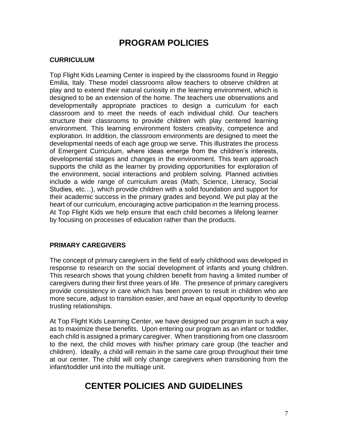## **PROGRAM POLICIES**

#### **CURRICULUM**

Top Flight Kids Learning Center is inspired by the classrooms found in Reggio Emilia, Italy. These model classrooms allow teachers to observe children at play and to extend their natural curiosity in the learning environment, which is designed to be an extension of the home. The teachers use observations and developmentally appropriate practices to design a curriculum for each classroom and to meet the needs of each individual child. Our teachers structure their classrooms to provide children with play centered learning environment. This learning environment fosters creativity, competence and exploration. In addition, the classroom environments are designed to meet the developmental needs of each age group we serve. This illustrates the process of Emergent Curriculum, where ideas emerge from the children's interests, developmental stages and changes in the environment. This team approach supports the child as the learner by providing opportunities for exploration of the environment, social interactions and problem solving. Planned activities include a wide range of curriculum areas (Math, Science, Literacy, Social Studies, etc…), which provide children with a solid foundation and support for their academic success in the primary grades and beyond. We put play at the heart of our curriculum, encouraging active participation in the learning process. At Top Flight Kids we help ensure that each child becomes a lifelong learner by focusing on processes of education rather than the products.

#### **PRIMARY CAREGIVERS**

The concept of primary caregivers in the field of early childhood was developed in response to research on the social development of infants and young children. This research shows that young children benefit from having a limited number of caregivers during their first three years of life. The presence of primary caregivers provide consistency in care which has been proven to result in children who are more secure, adjust to transition easier, and have an equal opportunity to develop trusting relationships.

At Top Flight Kids Learning Center, we have designed our program in such a way as to maximize these benefits. Upon entering our program as an infant or toddler, each child is assigned a primary caregiver. When transitioning from one classroom to the next, the child moves with his/her primary care group (the teacher and children). Ideally, a child will remain in the same care group throughout their time at our center. The child will only change caregivers when transitioning from the infant/toddler unit into the multiage unit.

## **CENTER POLICIES AND GUIDELINES**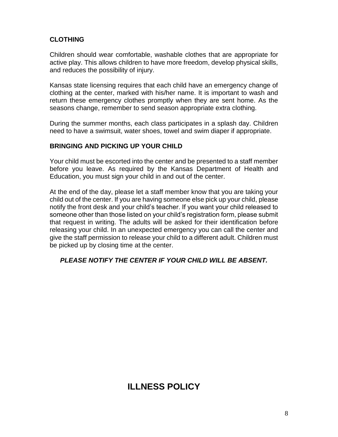#### **CLOTHING**

Children should wear comfortable, washable clothes that are appropriate for active play. This allows children to have more freedom, develop physical skills, and reduces the possibility of injury.

Kansas state licensing requires that each child have an emergency change of clothing at the center, marked with his/her name. It is important to wash and return these emergency clothes promptly when they are sent home. As the seasons change, remember to send season appropriate extra clothing.

During the summer months, each class participates in a splash day. Children need to have a swimsuit, water shoes, towel and swim diaper if appropriate.

#### **BRINGING AND PICKING UP YOUR CHILD**

Your child must be escorted into the center and be presented to a staff member before you leave. As required by the Kansas Department of Health and Education, you must sign your child in and out of the center.

At the end of the day, please let a staff member know that you are taking your child out of the center. If you are having someone else pick up your child, please notify the front desk and your child's teacher. If you want your child released to someone other than those listed on your child's registration form, please submit that request in writing. The adults will be asked for their identification before releasing your child. In an unexpected emergency you can call the center and give the staff permission to release your child to a different adult. Children must be picked up by closing time at the center.

#### *PLEASE NOTIFY THE CENTER IF YOUR CHILD WILL BE ABSENT.*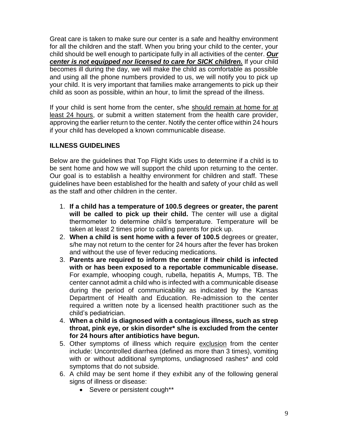Great care is taken to make sure our center is a safe and healthy environment for all the children and the staff. When you bring your child to the center, your child should be well enough to participate fully in all activities of the center. *Our center is not equipped nor licensed to care for SICK children.* If your child becomes ill during the day, we will make the child as comfortable as possible and using all the phone numbers provided to us, we will notify you to pick up your child. It is very important that families make arrangements to pick up their child as soon as possible, within an hour, to limit the spread of the illness.

If your child is sent home from the center, s/he should remain at home for at least 24 hours, or submit a written statement from the health care provider, approving the earlier return to the center. Notify the center office within 24 hours if your child has developed a known communicable disease.

#### **ILLNESS GUIDELINES**

Below are the guidelines that Top Flight Kids uses to determine if a child is to be sent home and how we will support the child upon returning to the center. Our goal is to establish a healthy environment for children and staff. These guidelines have been established for the health and safety of your child as well as the staff and other children in the center.

- 1. **If a child has a temperature of 100.5 degrees or greater, the parent will be called to pick up their child.** The center will use a digital thermometer to determine child's temperature. Temperature will be taken at least 2 times prior to calling parents for pick up.
- 2. **When a child is sent home with a fever of 100.5** degrees or greater, s/he may not return to the center for 24 hours after the fever has broken and without the use of fever reducing medications.
- 3. **Parents are required to inform the center if their child is infected with or has been exposed to a reportable communicable disease.** For example, whooping cough, rubella, hepatitis A, Mumps, TB. The center cannot admit a child who is infected with a communicable disease during the period of communicability as indicated by the Kansas Department of Health and Education. Re-admission to the center required a written note by a licensed health practitioner such as the child's pediatrician.
- 4. **When a child is diagnosed with a contagious illness, such as strep throat, pink eye, or skin disorder\* s/he is excluded from the center for 24 hours after antibiotics have begun.**
- 5. Other symptoms of illness which require exclusion from the center include: Uncontrolled diarrhea (defined as more than 3 times), vomiting with or without additional symptoms, undiagnosed rashes\* and cold symptoms that do not subside.
- 6. A child may be sent home if they exhibit any of the following general signs of illness or disease:
	- Severe or persistent cough\*\*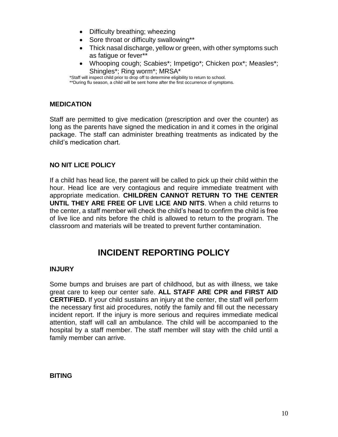- Difficulty breathing; wheezing
- Sore throat or difficulty swallowing\*\*
- Thick nasal discharge, yellow or green, with other symptoms such as fatigue or fever\*\*
- Whooping cough; Scabies\*; Impetigo\*; Chicken pox\*; Measles\*; Shingles\*; Ring worm\*; MRSA\*

\*Staff will inspect child prior to drop off to determine eligibility to return to school. \*\*During flu season, a child will be sent home after the first occurrence of symptoms.

#### **MEDICATION**

Staff are permitted to give medication (prescription and over the counter) as long as the parents have signed the medication in and it comes in the original package. The staff can administer breathing treatments as indicated by the child's medication chart.

#### **NO NIT LICE POLICY**

If a child has head lice, the parent will be called to pick up their child within the hour. Head lice are very contagious and require immediate treatment with appropriate medication. **CHILDREN CANNOT RETURN TO THE CENTER UNTIL THEY ARE FREE OF LIVE LICE AND NITS**. When a child returns to the center, a staff member will check the child's head to confirm the child is free of live lice and nits before the child is allowed to return to the program. The classroom and materials will be treated to prevent further contamination.

### **INCIDENT REPORTING POLICY**

#### **INJURY**

Some bumps and bruises are part of childhood, but as with illness, we take great care to keep our center safe. **ALL STAFF ARE CPR and FIRST AID CERTIFIED.** If your child sustains an injury at the center, the staff will perform the necessary first aid procedures, notify the family and fill out the necessary incident report. If the injury is more serious and requires immediate medical attention, staff will call an ambulance. The child will be accompanied to the hospital by a staff member. The staff member will stay with the child until a family member can arrive.

#### **BITING**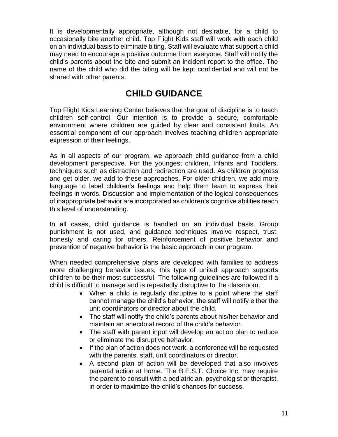It is developmentally appropriate, although not desirable, for a child to occasionally bite another child. Top Flight Kids staff will work with each child on an individual basis to eliminate biting. Staff will evaluate what support a child may need to encourage a positive outcome from everyone. Staff will notify the child's parents about the bite and submit an incident report to the office. The name of the child who did the biting will be kept confidential and will not be shared with other parents.

## **CHILD GUIDANCE**

Top Flight Kids Learning Center believes that the goal of discipline is to teach children self-control. Our intention is to provide a secure, comfortable environment where children are guided by clear and consistent limits. An essential component of our approach involves teaching children appropriate expression of their feelings.

As in all aspects of our program, we approach child guidance from a child development perspective. For the youngest children, Infants and Toddlers, techniques such as distraction and redirection are used. As children progress and get older, we add to these approaches. For older children, we add more language to label children's feelings and help them learn to express their feelings in words. Discussion and implementation of the logical consequences of inappropriate behavior are incorporated as children's cognitive abilities reach this level of understanding.

In all cases, child guidance is handled on an individual basis. Group punishment is not used, and guidance techniques involve respect, trust, honesty and caring for others. Reinforcement of positive behavior and prevention of negative behavior is the basic approach in our program.

When needed comprehensive plans are developed with families to address more challenging behavior issues, this type of united approach supports children to be their most successful. The following guidelines are followed if a child is difficult to manage and is repeatedly disruptive to the classroom.

- When a child is regularly disruptive to a point where the staff cannot manage the child's behavior, the staff will notify either the unit coordinators or director about the child.
- The staff will notify the child's parents about his/her behavior and maintain an anecdotal record of the child's behavior.
- The staff with parent input will develop an action plan to reduce or eliminate the disruptive behavior.
- If the plan of action does not work, a conference will be requested with the parents, staff, unit coordinators or director.
- A second plan of action will be developed that also involves parental action at home. The B.E.S.T. Choice Inc. may require the parent to consult with a pediatrician, psychologist or therapist, in order to maximize the child's chances for success.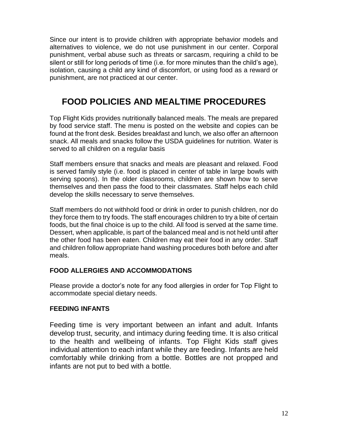Since our intent is to provide children with appropriate behavior models and alternatives to violence, we do not use punishment in our center. Corporal punishment, verbal abuse such as threats or sarcasm, requiring a child to be silent or still for long periods of time (i.e. for more minutes than the child's age), isolation, causing a child any kind of discomfort, or using food as a reward or punishment, are not practiced at our center.

## **FOOD POLICIES AND MEALTIME PROCEDURES**

Top Flight Kids provides nutritionally balanced meals. The meals are prepared by food service staff. The menu is posted on the website and copies can be found at the front desk. Besides breakfast and lunch, we also offer an afternoon snack. All meals and snacks follow the USDA guidelines for nutrition. Water is served to all children on a regular basis

Staff members ensure that snacks and meals are pleasant and relaxed. Food is served family style (i.e. food is placed in center of table in large bowls with serving spoons). In the older classrooms, children are shown how to serve themselves and then pass the food to their classmates. Staff helps each child develop the skills necessary to serve themselves.

Staff members do not withhold food or drink in order to punish children, nor do they force them to try foods. The staff encourages children to try a bite of certain foods, but the final choice is up to the child. All food is served at the same time. Dessert, when applicable, is part of the balanced meal and is not held until after the other food has been eaten. Children may eat their food in any order. Staff and children follow appropriate hand washing procedures both before and after meals.

#### **FOOD ALLERGIES AND ACCOMMODATIONS**

Please provide a doctor's note for any food allergies in order for Top Flight to accommodate special dietary needs.

#### **FEEDING INFANTS**

Feeding time is very important between an infant and adult. Infants develop trust, security, and intimacy during feeding time. It is also critical to the health and wellbeing of infants. Top Flight Kids staff gives individual attention to each infant while they are feeding. Infants are held comfortably while drinking from a bottle. Bottles are not propped and infants are not put to bed with a bottle.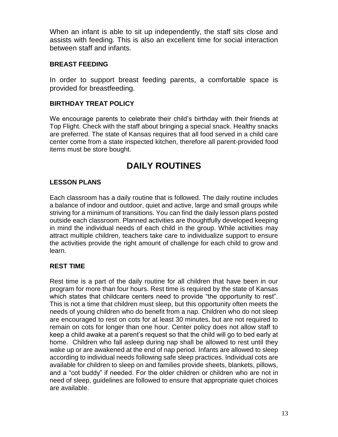When an infant is able to sit up independently, the staff sits close and assists with feeding. This is also an excellent time for social interaction between staff and infants.

#### **BREAST FEEDING**

In order to support breast feeding parents, a comfortable space is provided for breastfeeding.

#### **BIRTHDAY TREAT POLICY**

We encourage parents to celebrate their child's birthday with their friends at Top Flight. Check with the staff about bringing a special snack. Healthy snacks are preferred. The state of Kansas requires that all food served in a child care center come from a state inspected kitchen, therefore all parent-provided food items must be store bought.

## **DAILY ROUTINES**

#### **LESSON PLANS**

Each classroom has a daily routine that is followed. The daily routine includes a balance of indoor and outdoor, quiet and active, large and small groups while striving for a minimum of transitions. You can find the daily lesson plans posted outside each classroom. Planned activities are thoughtfully developed keeping in mind the individual needs of each child in the group. While activities may attract multiple children, teachers take care to individualize support to ensure the activities provide the right amount of challenge for each child to grow and learn.

#### **REST TIME**

Rest time is a part of the daily routine for all children that have been in our program for more than four hours. Rest time is required by the state of Kansas which states that childcare centers need to provide "the opportunity to rest". This is not a time that children must sleep, but this opportunity often meets the needs of young children who do benefit from a nap. Children who do not sleep are encouraged to rest on cots for at least 30 minutes, but are not required to remain on cots for longer than one hour. Center policy does not allow staff to keep a child awake at a parent's request so that the child will go to bed early at home. Children who fall asleep during nap shall be allowed to rest until they wake up or are awakened at the end of nap period. Infants are allowed to sleep according to individual needs following safe sleep practices. Individual cots are available for children to sleep on and families provide sheets, blankets, pillows, and a "cot buddy" if needed. For the older children or children who are not in need of sleep, guidelines are followed to ensure that appropriate quiet choices are available.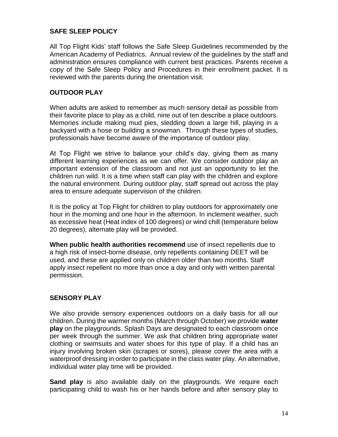#### **SAFE SLEEP POLICY**

All Top Flight Kids' staff follows the Safe Sleep Guidelines recommended by the American Academy of Pediatrics. Annual review of the guidelines by the staff and administration ensures compliance with current best practices. Parents receive a copy of the Safe Sleep Policy and Procedures in their enrollment packet. It is reviewed with the parents during the orientation visit.

#### **OUTDOOR PLAY**

When adults are asked to remember as much sensory detail as possible from their favorite place to play as a child, nine out of ten describe a place outdoors. Memories include making mud pies, sledding down a large hill, playing in a backyard with a hose or building a snowman. Through these types of studies, professionals have become aware of the importance of outdoor play.

At Top Flight we strive to balance your child's day, giving them as many different learning experiences as we can offer. We consider outdoor play an important extension of the classroom and not just an opportunity to let the children run wild. It is a time when staff can play with the children and explore the natural environment. During outdoor play, staff spread out across the play area to ensure adequate supervision of the children.

It is the policy at Top Flight for children to play outdoors for approximately one hour in the morning and one hour in the afternoon. In inclement weather, such as excessive heat (Heat index of 100 degrees) or wind chill (temperature below 20 degrees), alternate play will be provided.

**When public health authorities recommend** use of insect repellents due to a high risk of insect-borne disease, only repellents containing DEET will be used, and these are applied only on children older than two months. Staff apply insect repellent no more than once a day and only with written parental permission.

#### **SENSORY PLAY**

We also provide sensory experiences outdoors on a daily basis for all our children. During the warmer months (March through October) we provide **water play** on the playgrounds. Splash Days are designated to each classroom once per week through the summer. We ask that children bring appropriate water clothing or swimsuits and water shoes for this type of play. If a child has an injury involving broken skin (scrapes or sores), please cover the area with a waterproof dressing in order to participate in the class water play. An alternative, individual water play time will be provided.

**Sand play** is also available daily on the playgrounds. We require each participating child to wash his or her hands before and after sensory play to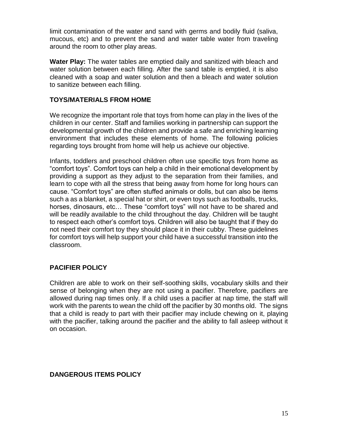limit contamination of the water and sand with germs and bodily fluid (saliva, mucous, etc) and to prevent the sand and water table water from traveling around the room to other play areas.

**Water Play:** The water tables are emptied daily and sanitized with bleach and water solution between each filling. After the sand table is emptied, it is also cleaned with a soap and water solution and then a bleach and water solution to sanitize between each filling.

#### **TOYS/MATERIALS FROM HOME**

We recognize the important role that toys from home can play in the lives of the children in our center. Staff and families working in partnership can support the developmental growth of the children and provide a safe and enriching learning environment that includes these elements of home. The following policies regarding toys brought from home will help us achieve our objective.

Infants, toddlers and preschool children often use specific toys from home as "comfort toys". Comfort toys can help a child in their emotional development by providing a support as they adjust to the separation from their families, and learn to cope with all the stress that being away from home for long hours can cause. "Comfort toys" are often stuffed animals or dolls, but can also be items such a as a blanket, a special hat or shirt, or even toys such as footballs, trucks, horses, dinosaurs, etc… These "comfort toys" will not have to be shared and will be readily available to the child throughout the day. Children will be taught to respect each other's comfort toys. Children will also be taught that if they do not need their comfort toy they should place it in their cubby. These guidelines for comfort toys will help support your child have a successful transition into the classroom.

#### **PACIFIER POLICY**

Children are able to work on their self-soothing skills, vocabulary skills and their sense of belonging when they are not using a pacifier. Therefore, pacifiers are allowed during nap times only. If a child uses a pacifier at nap time, the staff will work with the parents to wean the child off the pacifier by 30 months old. The signs that a child is ready to part with their pacifier may include chewing on it, playing with the pacifier, talking around the pacifier and the ability to fall asleep without it on occasion.

#### **DANGEROUS ITEMS POLICY**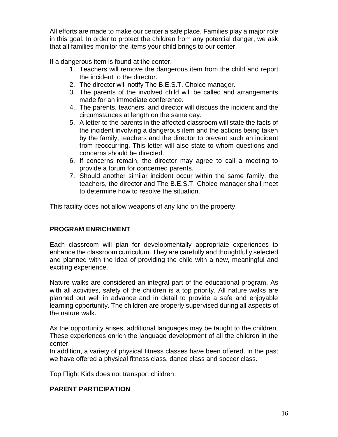All efforts are made to make our center a safe place. Families play a major role in this goal. In order to protect the children from any potential danger, we ask that all families monitor the items your child brings to our center.

If a dangerous item is found at the center,

- 1. Teachers will remove the dangerous item from the child and report the incident to the director.
- 2. The director will notify The B.E.S.T. Choice manager.
- 3. The parents of the involved child will be called and arrangements made for an immediate conference.
- 4. The parents, teachers, and director will discuss the incident and the circumstances at length on the same day.
- 5. A letter to the parents in the affected classroom will state the facts of the incident involving a dangerous item and the actions being taken by the family, teachers and the director to prevent such an incident from reoccurring. This letter will also state to whom questions and concerns should be directed.
- 6. If concerns remain, the director may agree to call a meeting to provide a forum for concerned parents.
- 7. Should another similar incident occur within the same family, the teachers, the director and The B.E.S.T. Choice manager shall meet to determine how to resolve the situation.

This facility does not allow weapons of any kind on the property.

#### **PROGRAM ENRICHMENT**

Each classroom will plan for developmentally appropriate experiences to enhance the classroom curriculum. They are carefully and thoughtfully selected and planned with the idea of providing the child with a new, meaningful and exciting experience.

Nature walks are considered an integral part of the educational program. As with all activities, safety of the children is a top priority. All nature walks are planned out well in advance and in detail to provide a safe and enjoyable learning opportunity. The children are properly supervised during all aspects of the nature walk.

As the opportunity arises, additional languages may be taught to the children. These experiences enrich the language development of all the children in the center.

In addition, a variety of physical fitness classes have been offered. In the past we have offered a physical fitness class, dance class and soccer class.

Top Flight Kids does not transport children.

#### **PARENT PARTICIPATION**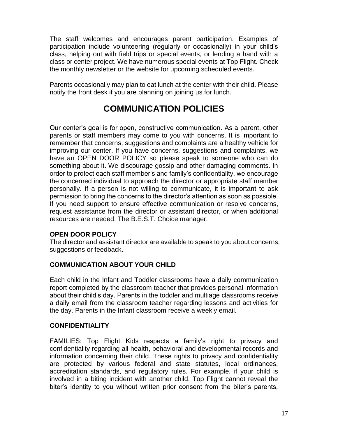The staff welcomes and encourages parent participation. Examples of participation include volunteering (regularly or occasionally) in your child's class, helping out with field trips or special events, or lending a hand with a class or center project. We have numerous special events at Top Flight. Check the monthly newsletter or the website for upcoming scheduled events.

Parents occasionally may plan to eat lunch at the center with their child. Please notify the front desk if you are planning on joining us for lunch.

## **COMMUNICATION POLICIES**

Our center's goal is for open, constructive communication. As a parent, other parents or staff members may come to you with concerns. It is important to remember that concerns, suggestions and complaints are a healthy vehicle for improving our center. If you have concerns, suggestions and complaints, we have an OPEN DOOR POLICY so please speak to someone who can do something about it. We discourage gossip and other damaging comments. In order to protect each staff member's and family's confidentiality, we encourage the concerned individual to approach the director or appropriate staff member personally. If a person is not willing to communicate, it is important to ask permission to bring the concerns to the director's attention as soon as possible. If you need support to ensure effective communication or resolve concerns, request assistance from the director or assistant director, or when additional resources are needed, The B.E.S.T. Choice manager.

#### **OPEN DOOR POLICY**

The director and assistant director are available to speak to you about concerns, suggestions or feedback.

#### **COMMUNICATION ABOUT YOUR CHILD**

Each child in the Infant and Toddler classrooms have a daily communication report completed by the classroom teacher that provides personal information about their child's day. Parents in the toddler and multiage classrooms receive a daily email from the classroom teacher regarding lessons and activities for the day. Parents in the Infant classroom receive a weekly email.

#### **CONFIDENTIALITY**

FAMILIES: Top Flight Kids respects a family's right to privacy and confidentiality regarding all health, behavioral and developmental records and information concerning their child. These rights to privacy and confidentiality are protected by various federal and state statutes, local ordinances, accreditation standards, and regulatory rules. For example, if your child is involved in a biting incident with another child, Top Flight cannot reveal the biter's identity to you without written prior consent from the biter's parents,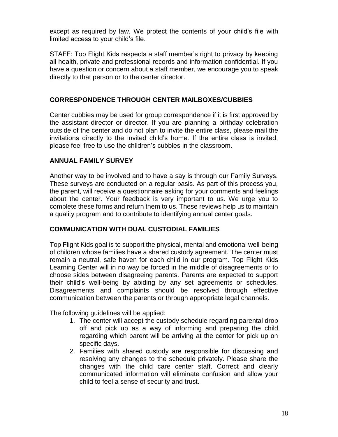except as required by law. We protect the contents of your child's file with limited access to your child's file.

STAFF: Top Flight Kids respects a staff member's right to privacy by keeping all health, private and professional records and information confidential. If you have a question or concern about a staff member, we encourage you to speak directly to that person or to the center director.

#### **CORRESPONDENCE THROUGH CENTER MAILBOXES/CUBBIES**

Center cubbies may be used for group correspondence if it is first approved by the assistant director or director. If you are planning a birthday celebration outside of the center and do not plan to invite the entire class, please mail the invitations directly to the invited child's home. If the entire class is invited, please feel free to use the children's cubbies in the classroom.

#### **ANNUAL FAMILY SURVEY**

Another way to be involved and to have a say is through our Family Surveys. These surveys are conducted on a regular basis. As part of this process you, the parent, will receive a questionnaire asking for your comments and feelings about the center. Your feedback is very important to us. We urge you to complete these forms and return them to us. These reviews help us to maintain a quality program and to contribute to identifying annual center goals.

#### **COMMUNICATION WITH DUAL CUSTODIAL FAMILIES**

Top Flight Kids goal is to support the physical, mental and emotional well-being of children whose families have a shared custody agreement. The center must remain a neutral, safe haven for each child in our program. Top Flight Kids Learning Center will in no way be forced in the middle of disagreements or to choose sides between disagreeing parents. Parents are expected to support their child's well-being by abiding by any set agreements or schedules. Disagreements and complaints should be resolved through effective communication between the parents or through appropriate legal channels.

The following guidelines will be applied:

- 1. The center will accept the custody schedule regarding parental drop off and pick up as a way of informing and preparing the child regarding which parent will be arriving at the center for pick up on specific days.
- 2. Families with shared custody are responsible for discussing and resolving any changes to the schedule privately. Please share the changes with the child care center staff. Correct and clearly communicated information will eliminate confusion and allow your child to feel a sense of security and trust.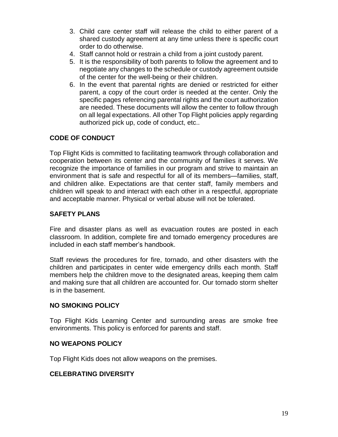- 3. Child care center staff will release the child to either parent of a shared custody agreement at any time unless there is specific court order to do otherwise.
- 4. Staff cannot hold or restrain a child from a joint custody parent.
- 5. It is the responsibility of both parents to follow the agreement and to negotiate any changes to the schedule or custody agreement outside of the center for the well-being or their children.
- 6. In the event that parental rights are denied or restricted for either parent, a copy of the court order is needed at the center. Only the specific pages referencing parental rights and the court authorization are needed. These documents will allow the center to follow through on all legal expectations. All other Top Flight policies apply regarding authorized pick up, code of conduct, etc..

#### **CODE OF CONDUCT**

Top Flight Kids is committed to facilitating teamwork through collaboration and cooperation between its center and the community of families it serves. We recognize the importance of families in our program and strive to maintain an environment that is safe and respectful for all of its members—families, staff, and children alike. Expectations are that center staff, family members and children will speak to and interact with each other in a respectful, appropriate and acceptable manner. Physical or verbal abuse will not be tolerated.

#### **SAFETY PLANS**

Fire and disaster plans as well as evacuation routes are posted in each classroom. In addition, complete fire and tornado emergency procedures are included in each staff member's handbook.

Staff reviews the procedures for fire, tornado, and other disasters with the children and participates in center wide emergency drills each month. Staff members help the children move to the designated areas, keeping them calm and making sure that all children are accounted for. Our tornado storm shelter is in the basement.

#### **NO SMOKING POLICY**

Top Flight Kids Learning Center and surrounding areas are smoke free environments. This policy is enforced for parents and staff.

#### **NO WEAPONS POLICY**

Top Flight Kids does not allow weapons on the premises.

#### **CELEBRATING DIVERSITY**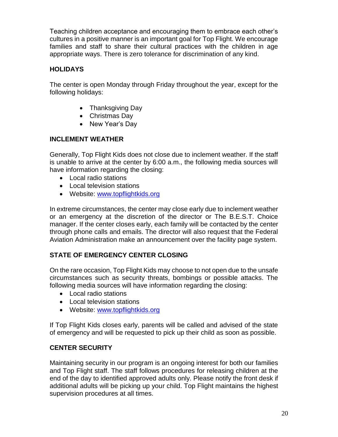Teaching children acceptance and encouraging them to embrace each other's cultures in a positive manner is an important goal for Top Flight. We encourage families and staff to share their cultural practices with the children in age appropriate ways. There is zero tolerance for discrimination of any kind.

#### **HOLIDAYS**

The center is open Monday through Friday throughout the year, except for the following holidays:

- Thanksgiving Day
- Christmas Day
- New Year's Day

#### **INCLEMENT WEATHER**

Generally, Top Flight Kids does not close due to inclement weather. If the staff is unable to arrive at the center by 6:00 a.m., the following media sources will have information regarding the closing:

- Local radio stations
- Local television stations
- Website: [www.topflightkids.org](http://www.topflightkids.org/)

In extreme circumstances, the center may close early due to inclement weather or an emergency at the discretion of the director or The B.E.S.T. Choice manager. If the center closes early, each family will be contacted by the center through phone calls and emails. The director will also request that the Federal Aviation Administration make an announcement over the facility page system.

#### **STATE OF EMERGENCY CENTER CLOSING**

On the rare occasion, Top Flight Kids may choose to not open due to the unsafe circumstances such as security threats, bombings or possible attacks. The following media sources will have information regarding the closing:

- Local radio stations
- Local television stations
- Website: [www.topflightkids.org](http://www.topflightkids.org/)

If Top Flight Kids closes early, parents will be called and advised of the state of emergency and will be requested to pick up their child as soon as possible.

#### **CENTER SECURITY**

Maintaining security in our program is an ongoing interest for both our families and Top Flight staff. The staff follows procedures for releasing children at the end of the day to identified approved adults only. Please notify the front desk if additional adults will be picking up your child. Top Flight maintains the highest supervision procedures at all times.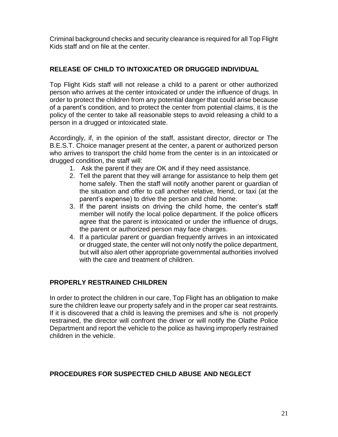Criminal background checks and security clearance is required for all Top Flight Kids staff and on file at the center.

#### **RELEASE OF CHILD TO INTOXICATED OR DRUGGED INDIVIDUAL**

Top Flight Kids staff will not release a child to a parent or other authorized person who arrives at the center intoxicated or under the influence of drugs. In order to protect the children from any potential danger that could arise because of a parent's condition, and to protect the center from potential claims, it is the policy of the center to take all reasonable steps to avoid releasing a child to a person in a drugged or intoxicated state.

Accordingly, if, in the opinion of the staff, assistant director, director or The B.E.S.T. Choice manager present at the center, a parent or authorized person who arrives to transport the child home from the center is in an intoxicated or drugged condition, the staff will:

- 1. Ask the parent if they are OK and if they need assistance.
- 2. Tell the parent that they will arrange for assistance to help them get home safely. Then the staff will notify another parent or guardian of the situation and offer to call another relative, friend, or taxi (at the parent's expense) to drive the person and child home.
- 3. If the parent insists on driving the child home, the center's staff member will notify the local police department. If the police officers agree that the parent is intoxicated or under the influence of drugs, the parent or authorized person may face charges.
- 4. If a particular parent or guardian frequently arrives in an intoxicated or drugged state, the center will not only notify the police department, but will also alert other appropriate governmental authorities involved with the care and treatment of children.

#### **PROPERLY RESTRAINED CHILDREN**

In order to protect the children in our care, Top Flight has an obligation to make sure the children leave our property safely and in the proper car seat restraints. If it is discovered that a child is leaving the premises and s/he is not properly restrained, the director will confront the driver or will notify the Olathe Police Department and report the vehicle to the police as having improperly restrained children in the vehicle.

#### **PROCEDURES FOR SUSPECTED CHILD ABUSE AND NEGLECT**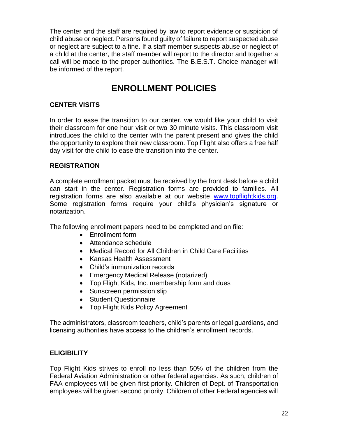The center and the staff are required by law to report evidence or suspicion of child abuse or neglect. Persons found guilty of failure to report suspected abuse or neglect are subject to a fine. If a staff member suspects abuse or neglect of a child at the center, the staff member will report to the director and together a call will be made to the proper authorities. The B.E.S.T. Choice manager will be informed of the report.

## **ENROLLMENT POLICIES**

#### **CENTER VISITS**

In order to ease the transition to our center, we would like your child to visit their classroom for one hour visit *or* two 30 minute visits. This classroom visit introduces the child to the center with the parent present and gives the child the opportunity to explore their new classroom. Top Flight also offers a free half day visit for the child to ease the transition into the center.

#### **REGISTRATION**

A complete enrollment packet must be received by the front desk before a child can start in the center. Registration forms are provided to families. All registration forms are also available at our website [www.topflightkids.org.](http://www.topflightkids.org/) Some registration forms require your child's physician's signature or notarization.

The following enrollment papers need to be completed and on file:

- Enrollment form
- Attendance schedule
- Medical Record for All Children in Child Care Facilities
- Kansas Health Assessment
- Child's immunization records
- Emergency Medical Release (notarized)
- Top Flight Kids, Inc. membership form and dues
- Sunscreen permission slip
- Student Questionnaire
- Top Flight Kids Policy Agreement

The administrators, classroom teachers, child's parents or legal guardians, and licensing authorities have access to the children's enrollment records.

#### **ELIGIBILITY**

Top Flight Kids strives to enroll no less than 50% of the children from the Federal Aviation Administration or other federal agencies. As such, children of FAA employees will be given first priority. Children of Dept. of Transportation employees will be given second priority. Children of other Federal agencies will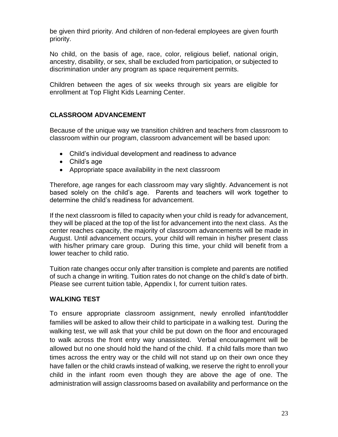be given third priority. And children of non-federal employees are given fourth priority.

No child, on the basis of age, race, color, religious belief, national origin, ancestry, disability, or sex, shall be excluded from participation, or subjected to discrimination under any program as space requirement permits.

Children between the ages of six weeks through six years are eligible for enrollment at Top Flight Kids Learning Center.

#### **CLASSROOM ADVANCEMENT**

Because of the unique way we transition children and teachers from classroom to classroom within our program, classroom advancement will be based upon:

- Child's individual development and readiness to advance
- Child's age
- Appropriate space availability in the next classroom

Therefore, age ranges for each classroom may vary slightly. Advancement is not based solely on the child's age. Parents and teachers will work together to determine the child's readiness for advancement.

If the next classroom is filled to capacity when your child is ready for advancement, they will be placed at the top of the list for advancement into the next class. As the center reaches capacity, the majority of classroom advancements will be made in August. Until advancement occurs, your child will remain in his/her present class with his/her primary care group. During this time, your child will benefit from a lower teacher to child ratio.

Tuition rate changes occur only after transition is complete and parents are notified of such a change in writing. Tuition rates do not change on the child's date of birth. Please see current tuition table, Appendix I, for current tuition rates.

#### **WALKING TEST**

To ensure appropriate classroom assignment, newly enrolled infant/toddler families will be asked to allow their child to participate in a walking test. During the walking test, we will ask that your child be put down on the floor and encouraged to walk across the front entry way unassisted. Verbal encouragement will be allowed but no one should hold the hand of the child. If a child falls more than two times across the entry way or the child will not stand up on their own once they have fallen or the child crawls instead of walking, we reserve the right to enroll your child in the infant room even though they are above the age of one. The administration will assign classrooms based on availability and performance on the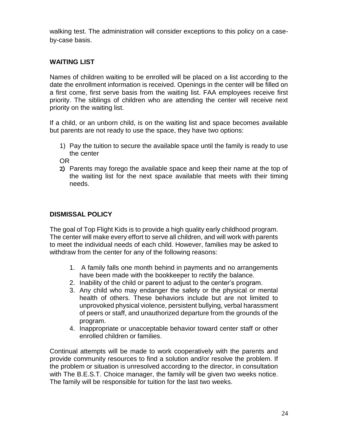walking test. The administration will consider exceptions to this policy on a caseby-case basis.

#### **WAITING LIST**

Names of children waiting to be enrolled will be placed on a list according to the date the enrollment information is received. Openings in the center will be filled on a first come, first serve basis from the waiting list. FAA employees receive first priority. The siblings of children who are attending the center will receive next priority on the waiting list.

If a child, or an unborn child, is on the waiting list and space becomes available but parents are not ready to use the space, they have two options:

1) Pay the tuition to secure the available space until the family is ready to use the center

OR

2) Parents may forego the available space and keep their name at the top of the waiting list for the next space available that meets with their timing needs.

#### **DISMISSAL POLICY**

The goal of Top Flight Kids is to provide a high quality early childhood program. The center will make every effort to serve all children, and will work with parents to meet the individual needs of each child. However, families may be asked to withdraw from the center for any of the following reasons:

- 1. A family falls one month behind in payments and no arrangements have been made with the bookkeeper to rectify the balance.
- 2. Inability of the child or parent to adjust to the center's program.
- 3. Any child who may endanger the safety or the physical or mental health of others. These behaviors include but are not limited to unprovoked physical violence, persistent bullying, verbal harassment of peers or staff, and unauthorized departure from the grounds of the program.
- 4. Inappropriate or unacceptable behavior toward center staff or other enrolled children or families.

Continual attempts will be made to work cooperatively with the parents and provide community resources to find a solution and/or resolve the problem. If the problem or situation is unresolved according to the director, in consultation with The B.E.S.T. Choice manager, the family will be given two weeks notice. The family will be responsible for tuition for the last two weeks.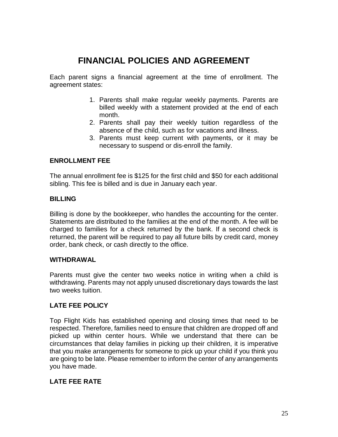## **FINANCIAL POLICIES AND AGREEMENT**

Each parent signs a financial agreement at the time of enrollment. The agreement states:

- 1. Parents shall make regular weekly payments. Parents are billed weekly with a statement provided at the end of each month.
- 2. Parents shall pay their weekly tuition regardless of the absence of the child, such as for vacations and illness.
- 3. Parents must keep current with payments, or it may be necessary to suspend or dis-enroll the family.

#### **ENROLLMENT FEE**

The annual enrollment fee is \$125 for the first child and \$50 for each additional sibling. This fee is billed and is due in January each year.

#### **BILLING**

Billing is done by the bookkeeper, who handles the accounting for the center. Statements are distributed to the families at the end of the month. A fee will be charged to families for a check returned by the bank. If a second check is returned, the parent will be required to pay all future bills by credit card, money order, bank check, or cash directly to the office.

#### **WITHDRAWAL**

Parents must give the center two weeks notice in writing when a child is withdrawing. Parents may not apply unused discretionary days towards the last two weeks tuition.

#### **LATE FEE POLICY**

Top Flight Kids has established opening and closing times that need to be respected. Therefore, families need to ensure that children are dropped off and picked up within center hours. While we understand that there can be circumstances that delay families in picking up their children, it is imperative that you make arrangements for someone to pick up your child if you think you are going to be late. Please remember to inform the center of any arrangements you have made.

#### **LATE FEE RATE**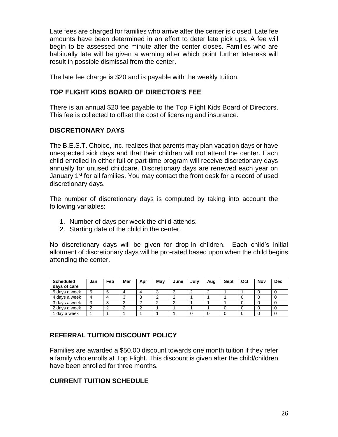Late fees are charged for families who arrive after the center is closed. Late fee amounts have been determined in an effort to deter late pick ups. A fee will begin to be assessed one minute after the center closes. Families who are habitually late will be given a warning after which point further lateness will result in possible dismissal from the center.

The late fee charge is \$20 and is payable with the weekly tuition.

#### **TOP FLIGHT KIDS BOARD OF DIRECTOR'S FEE**

There is an annual \$20 fee payable to the Top Flight Kids Board of Directors. This fee is collected to offset the cost of licensing and insurance.

#### **DISCRETIONARY DAYS**

The B.E.S.T. Choice, Inc. realizes that parents may plan vacation days or have unexpected sick days and that their children will not attend the center. Each child enrolled in either full or part-time program will receive discretionary days annually for unused childcare. Discretionary days are renewed each year on January 1<sup>st</sup> for all families. You may contact the front desk for a record of used discretionary days.

The number of discretionary days is computed by taking into account the following variables:

- 1. Number of days per week the child attends.
- 2. Starting date of the child in the center.

No discretionary days will be given for drop-in children. Each child's initial allotment of discretionary days will be pro-rated based upon when the child begins attending the center.

| <b>Scheduled</b><br>days of care | Jan              | Feb | Mar | Apr | Mav | June | July | Aug | Sept | Oct | Nov | <b>Dec</b> |
|----------------------------------|------------------|-----|-----|-----|-----|------|------|-----|------|-----|-----|------------|
| 5 days a week                    |                  | .5  |     |     |     |      |      |     |      |     |     |            |
| 4 days a week                    |                  |     | J   |     |     |      |      |     |      |     |     |            |
| 3 days a week                    | $\sqrt{2}$<br>د. |     |     |     |     |      |      |     |      |     |     |            |
| 2 days a week                    |                  |     |     |     |     |      |      |     |      |     |     |            |
| day a week                       |                  |     |     |     |     |      |      |     |      |     |     |            |

#### **REFERRAL TUITION DISCOUNT POLICY**

Families are awarded a \$50.00 discount towards one month tuition if they refer a family who enrolls at Top Flight. This discount is given after the child/children have been enrolled for three months.

#### **CURRENT TUITION SCHEDULE**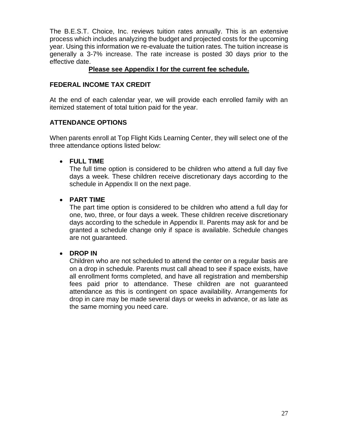The B.E.S.T. Choice, Inc. reviews tuition rates annually. This is an extensive process which includes analyzing the budget and projected costs for the upcoming year. Using this information we re-evaluate the tuition rates. The tuition increase is generally a 3-7% increase. The rate increase is posted 30 days prior to the effective date.

#### **Please see Appendix I for the current fee schedule.**

#### **FEDERAL INCOME TAX CREDIT**

At the end of each calendar year, we will provide each enrolled family with an itemized statement of total tuition paid for the year.

#### **ATTENDANCE OPTIONS**

When parents enroll at Top Flight Kids Learning Center, they will select one of the three attendance options listed below:

#### **FULL TIME**

The full time option is considered to be children who attend a full day five days a week. These children receive discretionary days according to the schedule in Appendix II on the next page.

#### **PART TIME**

The part time option is considered to be children who attend a full day for one, two, three, or four days a week. These children receive discretionary days according to the schedule in Appendix II. Parents may ask for and be granted a schedule change only if space is available. Schedule changes are not guaranteed.

#### **DROP IN**

Children who are not scheduled to attend the center on a regular basis are on a drop in schedule. Parents must call ahead to see if space exists, have all enrollment forms completed, and have all registration and membership fees paid prior to attendance. These children are not guaranteed attendance as this is contingent on space availability. Arrangements for drop in care may be made several days or weeks in advance, or as late as the same morning you need care.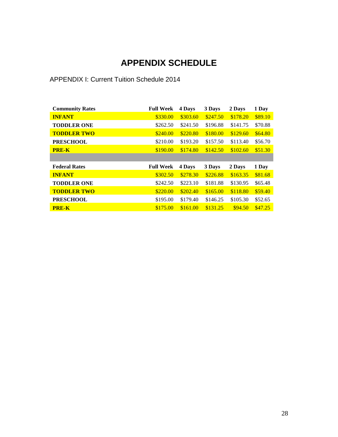## **APPENDIX SCHEDULE**

#### APPENDIX I: Current Tuition Schedule 2014

| <b>Community Rates</b> | <b>Full Week</b> | 4 Days   | 3 Days   | 2 Days   | 1 Day   |
|------------------------|------------------|----------|----------|----------|---------|
| <b>INFANT</b>          | \$330.00         | \$303.60 | \$247.50 | \$178.20 | \$89.10 |
| <b>TODDLER ONE</b>     | \$262.50         | \$241.50 | \$196.88 | \$141.75 | \$70.88 |
| <b>TODDLER TWO</b>     | \$240.00         | \$220.80 | \$180.00 | \$129.60 | \$64.80 |
| <b>PRESCHOOL</b>       | \$210.00         | \$193.20 | \$157.50 | \$113.40 | \$56.70 |
| <b>PRE-K</b>           | \$190.00         | \$174.80 | \$142.50 | \$102.60 | \$51.30 |
|                        |                  |          |          |          |         |
|                        |                  |          |          |          |         |
| <b>Federal Rates</b>   | <b>Full Week</b> | 4 Days   | 3 Days   | 2 Days   | 1 Day   |
| <b>INFANT</b>          | \$302.50         | \$278.30 | \$226.88 | \$163.35 | \$81.68 |
| <b>TODDLER ONE</b>     | \$242.50         | \$223.10 | \$181.88 | \$130.95 | \$65.48 |
| <b>TODDLER TWO</b>     | \$220.00         | \$202.40 | \$165.00 | \$118.80 | \$59.40 |
| <b>PRESCHOOL</b>       | \$195.00         | \$179.40 | \$146.25 | \$105.30 | \$52.65 |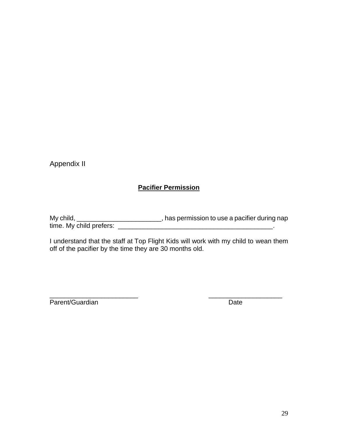Appendix II

#### **Pacifier Permission**

My child, \_\_\_\_\_\_\_\_\_\_\_\_\_\_\_\_\_\_\_\_\_\_\_\_\_\_, has permission to use a pacifier during nap time. My child prefers: \_\_\_\_\_\_\_\_\_\_\_\_\_\_\_\_\_\_\_\_\_\_\_\_\_\_\_\_\_\_\_\_\_\_\_\_\_\_\_\_\_\_.

I understand that the staff at Top Flight Kids will work with my child to wean them off of the pacifier by the time they are 30 months old.

\_\_\_\_\_\_\_\_\_\_\_\_\_\_\_\_\_\_\_\_\_\_\_\_ \_\_\_\_\_\_\_\_\_\_\_\_\_\_\_\_\_\_\_\_ Parent/Guardian Date Date